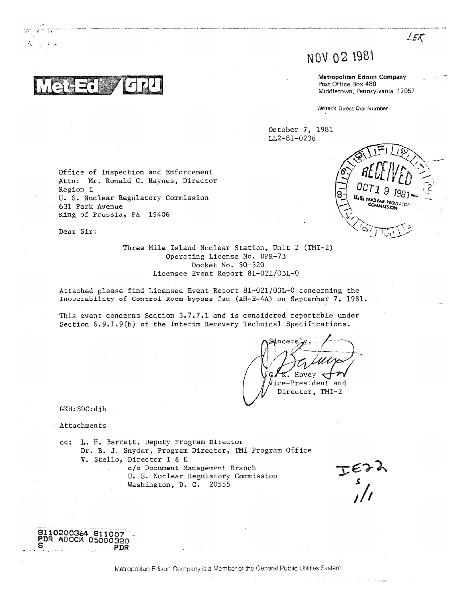# NOV 02 1981

Metropolitan Edison Company Post Office Box 480 Middletown, Pennsylvania 17057

LER

Writer's Direct Dial Number

October 7, 1981 LL2-81-0236

Office of Inspection and Enforcement Attn: Mr. Ronald C. Haynes, Director Region I U. S. Nuclear Regulatory Commission 631 Park Avenue King of Prussia, PA 19406

Dear Sir:

Three Mile Island Nuclear Station, Unit 2 (TMI-2) Operating License No. DPR-73 Docket No. 50-320 Licensee Event Report 81-021/03L-0

Attached please find Licensee Event Report 81-021/03L-0 concerning the inoperability of Control Room bypass fan (AH-E-4A) on September 7, 1981.

This event concerns Section 3.7.7.1 and is considered reportable under Section 6.9.1.9(b) of the Interim Recovery Technical Specifications.

Hovey  $\emptyset$ ice-President and Director, TMI-2

GKH: SDC: dib

Attachments

8110200364 811007 PDR ADOCK 05000320

**PDR** 

cc: L. H. Barrett, Deputy Program Director Dr. B. J. Snyder, Program Director, TMI Program Office V. Stello, Director I & E c/o Document Management Branch U. S. Nuclear Regulatory Commission

Washington, D. C. 20555

 $I_{S}$ 

Metropolitan Edison Company is a Member of the General Public Utilities System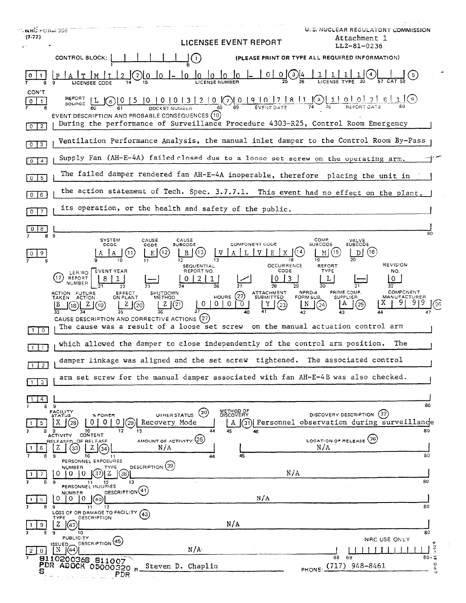| <b>T. NHÙ POHLI 356</b><br>$(7-77)$<br>LICENSEE EVENT REPORT                                                                                                                                                                                                                                                                       | U.S. NUCLEAR REGULATORY COMMISSION<br>Attachment 1<br>LL2-81-0236           |
|------------------------------------------------------------------------------------------------------------------------------------------------------------------------------------------------------------------------------------------------------------------------------------------------------------------------------------|-----------------------------------------------------------------------------|
| CONTROL BLOCK:<br>$\left(1\right)$<br>(PLEASE PRINT OR TYPE ALL REQUIRED INFORMATION)                                                                                                                                                                                                                                              |                                                                             |
| $\frac{\log_{10} 1 - 0}{25}$ $\frac{0}{26}$<br>$ 0\rangle$<br>lo.<br>(2)<br>ΙOΞ<br>0                                                                                                                                                                                                                                               | (5)                                                                         |
| CON'T<br>REPORT L $\bigcirc$ 0 15 10 10 13 12 10 0 19 10 17 8 11 $\bigcirc$ 1 10 0 7 8 1 $\bigcirc$ 10 17 8 1 $\bigcirc$ 10 10 17 8 1 $\bigcirc$ 10 10 17 8 1 $\bigcirc$ 10 10 17 8 1 $\bigcirc$ 10 10 17 8 1 $\bigcirc$ 10 10 17 8 1 $\bigcirc$ 10 10 17 8 1 $\bigcirc$ 10 10 17 8 1 $\$<br>$\circ$<br>$\vert$ 1                  |                                                                             |
| EVENT DESCRIPTION AND PROBABLE CONSEQUENCES (10)<br>During the performance of Surveillance Procedure 4303-R25, Control Room Emergency<br>$0$   $2$                                                                                                                                                                                 |                                                                             |
| Ventilation Performance Analysis, the manual inlet damper to the Control Room By-Pass<br>$0 \mid 3$                                                                                                                                                                                                                                |                                                                             |
| Supply Fan (AH-E-4A) failed closed due to a loose set screw on the operating arm.<br>$\boxed{0}$ $\boxed{4}$                                                                                                                                                                                                                       |                                                                             |
| The failed damper rendered fan AH-E-4A inoperable, therefore placing the unit in<br>$0 \mid 5$                                                                                                                                                                                                                                     |                                                                             |
| the action statement of Tech. Spec. 3.7.7.1. This event had no effect on the plant,<br>$0$ 6                                                                                                                                                                                                                                       |                                                                             |
| its operation, or the health and safety of the public.<br>$0\vert 7$                                                                                                                                                                                                                                                               |                                                                             |
| 8                                                                                                                                                                                                                                                                                                                                  | 80                                                                          |
| 8<br>9<br>COMP.<br><b>SYSTEM</b><br>CAUSE<br>CAUSE<br>VALVE<br>SUBCODE<br>COMPONENT CODE<br><b>SUBCODE</b><br>SUBCODE<br>CODE<br>cope<br>(15<br>9<br>19<br>12<br>18<br><b>OCCURRENCE</b><br>SEQUENTIAL<br>REPORT                                                                                                                   | D(16)<br><b>REVISION</b>                                                    |
| LER/RO EVENT YEAR<br>REPORT NO.<br>CODE<br>TYPE<br>17<br>REPORT<br>L<br>0<br>NUMBER<br>28<br>PRIME COMP.<br>NPRD-4<br>ATTACHMENT<br>SUBMITTED<br>ACTION FUTURE<br>TAKEN ACTION<br>EFFECT<br>ON PLANT<br>SHUTDOWN<br>METHOD<br>HOURS $(22)$<br>FORM SUB.<br><b>SUPPLIER</b><br>(21)<br>Z<br><b>U</b><br>Z(20)<br>$^{(23)}$<br>Z(19) | NO.<br>0<br>32<br>COMPONENT<br><b>MANUFACTURER</b><br>х<br>(25)<br>26<br>44 |
| CAUSE DESCRIPTION AND CORRECTIVE ACTIONS (27)<br>The cause was a result of a loose set screw on the manual actuation control arm<br>$1$ 0                                                                                                                                                                                          |                                                                             |
| which allowed the damper to close independently of the control arm position.<br>$\overline{1}$                                                                                                                                                                                                                                     | The                                                                         |
| damper linkage was aligned and the set screw tightened. The associated control<br>$1 \mid 2$                                                                                                                                                                                                                                       |                                                                             |
| arm set screw for the manual damper associated with fan AH-E-4B was also checked.<br>3                                                                                                                                                                                                                                             |                                                                             |
| 4                                                                                                                                                                                                                                                                                                                                  |                                                                             |
| 9<br>8<br>METHOD OF<br>DISCOVERY<br><b>FACILITY</b><br>(30)<br>DISCOVERY DESCRIPTION (32)<br><b>UTHER STATUS</b><br>% POWER<br><b>STATUS</b><br>Personnel observation during surveillande<br>Recovery Mode<br>А<br>31)<br>29<br>5                                                                                                  | 80<br>80                                                                    |
| - 9<br>10<br>13<br>44<br>45<br>8<br>12<br>46<br>CONTENT<br><b>ACTIVITY</b><br>AMOUNT OF ACTIVITY (35)<br>LOCATION OF RELEASE <sup>(36)</sup><br>RELEASED_OF RELEASE<br>N/A<br>N/A<br>Z<br>33<br>6<br>45<br>10<br>9<br>44<br>11                                                                                                     | 80                                                                          |
| PERSONNEL EXPOSURES<br>DESCRIPTION (39)<br>TYPE<br>NUMBER.<br>N/A<br>37<br>$\left(38\right)$<br>0<br>$0+0$<br>z<br>7                                                                                                                                                                                                               |                                                                             |
| 1<br>13<br>8<br>9<br>11<br>12<br>PERSONNEL INJURIES<br>DESCRIPTION <sup>(41)</sup>                                                                                                                                                                                                                                                 | 80                                                                          |
| <b>NUMBER</b><br>N/A<br>0<br>0.<br>10<br>[(40)<br>8<br>12<br>9<br>11                                                                                                                                                                                                                                                               | 80                                                                          |
| LOSS OF OR DAMAGE TO FACILITY (43)<br><b>TYPE</b><br>DESCRIPTION<br>N/A<br>z<br>1(42<br>9                                                                                                                                                                                                                                          |                                                                             |
| 8<br>9<br>10<br><b>PUBLICITY</b><br>DESCRIPTION <sup>(45)</sup><br>ISSUED                                                                                                                                                                                                                                                          | 80<br>NRC USE ONLY<br>Ø                                                     |
| N/A<br>N<br>(44<br>$\mathbf{2}$<br>0<br>69<br>68<br>8110200368 811007                                                                                                                                                                                                                                                              | $-92$<br>80.5                                                               |
| PDR ADOCK 05000320<br>PHONE: (717) 948-8461<br>Steven D. Chaplin<br>PDR                                                                                                                                                                                                                                                            | o<br>a.<br>O                                                                |